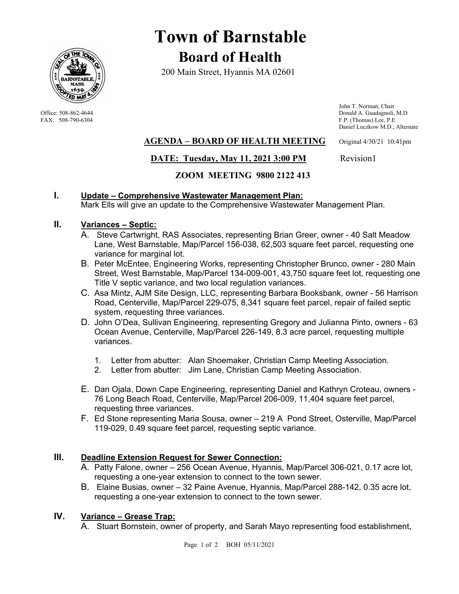

# **Town of Barnstable Board of Health**

200 Main Street, Hyannis MA 02601

 John T. Norman, Chair Office: 508-862-4644 Donald A. Guadagnoli, M.D<br>
FAX: 508-790-6304 FAX: 508-790-6304 PM: 0.000 Donald A. Guadagnoli, M.D F.P. (Thomas) Lee, P.E. Daniel Luczkow M.D., Alternate

## **AGENDA – BOARD OF HEALTH MEETING** Original 4/30/21 10:41pm

## **DATE: Tuesday, May 11, 2021 3:00 PM** Revision1

## **ZOOM MEETING 9800 2122 413**

## **I. Update – Comprehensive Wastewater Management Plan:**

Mark Ells will give an update to the Comprehensive Wastewater Management Plan.

## **II. Variances – Septic:**

- A. Steve Cartwright, RAS Associates, representing Brian Greer, owner 40 Salt Meadow Lane, West Barnstable, Map/Parcel 156-038, 62,503 square feet parcel, requesting one variance for marginal lot.
- B. Peter McEntee, Engineering Works, representing Christopher Brunco, owner 280 Main Street, West Barnstable, Map/Parcel 134-009-001, 43,750 square feet lot, requesting one Title V septic variance, and two local regulation variances.
- C. Asa Mintz, AJM Site Design, LLC, representing Barbara Booksbank, owner 56 Harrison Road, Centerville, Map/Parcel 229-075, 8,341 square feet parcel, repair of failed septic system, requesting three variances.
- D. John O'Dea, Sullivan Engineering, representing Gregory and Julianna Pinto, owners 63 Ocean Avenue, Centerville, Map/Parcel 226-149, 8.3 acre parcel, requesting multiple variances.
	- 1. Letter from abutter: Alan Shoemaker, Christian Camp Meeting Association.
	- 2. Letter from abutter: Jim Lane, Christian Camp Meeting Association.
- E. Dan Ojala, Down Cape Engineering, representing Daniel and Kathryn Croteau, owners 76 Long Beach Road, Centerville, Map/Parcel 206-009, 11,404 square feet parcel, requesting three variances.
- F. Ed Stone representing Maria Sousa, owner 219 A Pond Street, Osterville, Map/Parcel 119-029, 0.49 square feet parcel, requesting septic variance.

## **III. Deadline Extension Request for Sewer Connection:**

- A. Patty Falone, owner 256 Ocean Avenue, Hyannis, Map/Parcel 306-021, 0.17 acre lot, requesting a one-year extension to connect to the town sewer.
- B. Elaine Busias, owner 32 Paine Avenue, Hyannis, Map/Parcel 288-142, 0.35 acre lot, requesting a one-year extension to connect to the town sewer.

## **IV. Variance – Grease Trap:**

A. Stuart Bornstein, owner of property, and Sarah Mayo representing food establishment,